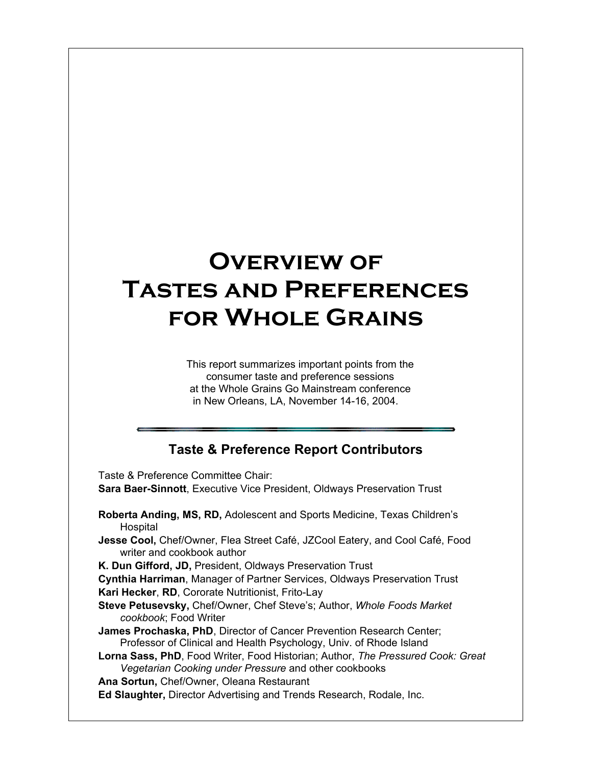# **Overview of Tastes and Preferences for Whole Grains**

This report summarizes important points from the consumer taste and preference sessions at the Whole Grains Go Mainstream conference in New Orleans, LA, November 14-16, 2004.

### **Taste & Preference Report Contributors**

Taste & Preference Committee Chair: **Sara Baer-Sinnott**, Executive Vice President, Oldways Preservation Trust

- **Roberta Anding, MS, RD,** Adolescent and Sports Medicine, Texas Children's **Hospital**
- **Jesse Cool,** Chef/Owner, Flea Street Café, JZCool Eatery, and Cool Café, Food writer and cookbook author

**K. Dun Gifford, JD,** President, Oldways Preservation Trust

**Cynthia Harriman**, Manager of Partner Services, Oldways Preservation Trust **Kari Hecker**, **RD**, Cororate Nutritionist, Frito-Lay

**Steve Petusevsky,** Chef/Owner, Chef Steve's; Author, *Whole Foods Market cookbook*; Food Writer

**James Prochaska, PhD**, Director of Cancer Prevention Research Center; Professor of Clinical and Health Psychology, Univ. of Rhode Island

**Lorna Sass, PhD**, Food Writer, Food Historian; Author, *The Pressured Cook: Great Vegetarian Cooking under Pressure* and other cookbooks

**Ana Sortun,** Chef/Owner, Oleana Restaurant

**Ed Slaughter,** Director Advertising and Trends Research, Rodale, Inc.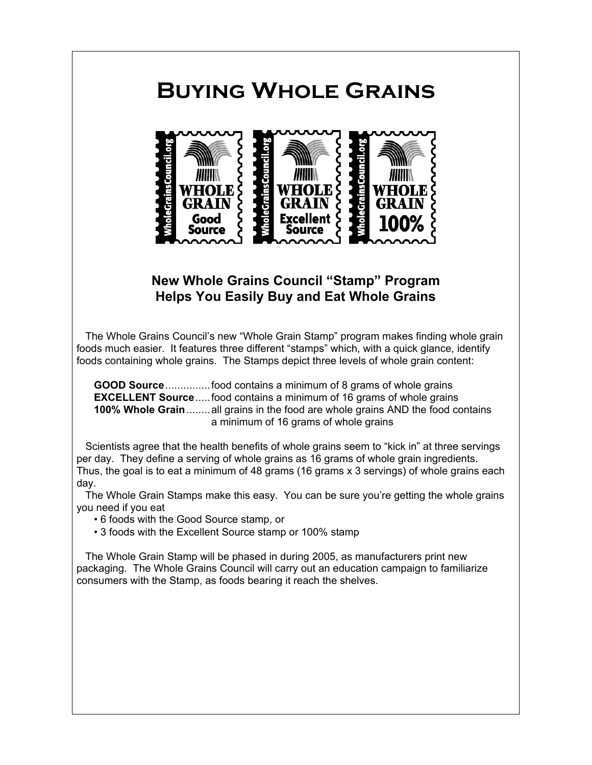## **Buying Whole Grains**



### **New Whole Grains Council "Stamp" Program Helps You Easily Buy and Eat Whole Grains**

The Whole Grains Council's new "Whole Grain Stamp" program makes finding whole grain foods much easier. It features three different "stamps" which, with a quick glance, identify foods containing whole grains. The Stamps depict three levels of whole grain content:

**GOOD Source**...............food contains a minimum of 8 grams of whole grains **EXCELLENT Source**.....food contains a minimum of 16 grams of whole grains **100% Whole Grain**........all grains in the food are whole grains AND the food contains a minimum of 16 grams of whole grains

Scientists agree that the health benefits of whole grains seem to "kick in" at three servings per day. They define a serving of whole grains as 16 grams of whole grain ingredients. Thus, the goal is to eat a minimum of 48 grams (16 grams x 3 servings) of whole grains each day.

The Whole Grain Stamps make this easy. You can be sure you're getting the whole grains you need if you eat

- 6 foods with the Good Source stamp, or
- 3 foods with the Excellent Source stamp or 100% stamp

The Whole Grain Stamp will be phased in during 2005, as manufacturers print new packaging. The Whole Grains Council will carry out an education campaign to familiarize consumers with the Stamp, as foods bearing it reach the shelves.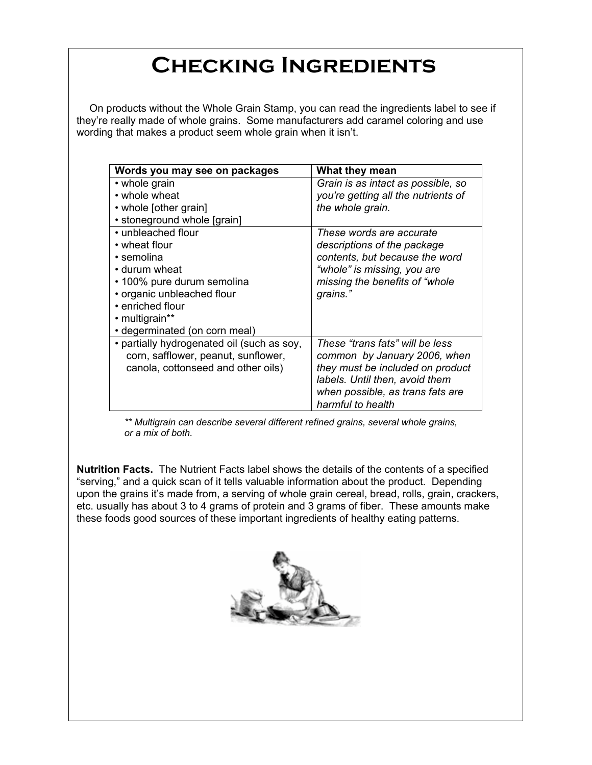## **Checking Ingredients**

On products without the Whole Grain Stamp, you can read the ingredients label to see if they're really made of whole grains. Some manufacturers add caramel coloring and use wording that makes a product seem whole grain when it isn't.

| Words you may see on packages              | What they mean                      |  |
|--------------------------------------------|-------------------------------------|--|
| • whole grain                              | Grain is as intact as possible, so  |  |
| • whole wheat                              | you're getting all the nutrients of |  |
| • whole [other grain]                      | the whole grain.                    |  |
| • stoneground whole [grain]                |                                     |  |
| • unbleached flour                         | These words are accurate            |  |
| • wheat flour                              | descriptions of the package         |  |
| • semolina                                 | contents, but because the word      |  |
| • durum wheat                              | "whole" is missing, you are         |  |
| • 100% pure durum semolina                 | missing the benefits of "whole      |  |
| • organic unbleached flour                 | grains."                            |  |
| • enriched flour                           |                                     |  |
| • multigrain**                             |                                     |  |
| • degerminated (on corn meal)              |                                     |  |
| • partially hydrogenated oil (such as soy, | These "trans fats" will be less     |  |
| corn, safflower, peanut, sunflower,        | common by January 2006, when        |  |
| canola, cottonseed and other oils)         | they must be included on product    |  |
|                                            | labels. Until then, avoid them      |  |
|                                            | when possible, as trans fats are    |  |
|                                            | harmful to health                   |  |

*\*\* Multigrain can describe several different refined grains, several whole grains, or a mix of both.*

**Nutrition Facts.** The Nutrient Facts label shows the details of the contents of a specified "serving," and a quick scan of it tells valuable information about the product. Depending upon the grains it's made from, a serving of whole grain cereal, bread, rolls, grain, crackers, etc. usually has about 3 to 4 grams of protein and 3 grams of fiber. These amounts make these foods good sources of these important ingredients of healthy eating patterns.

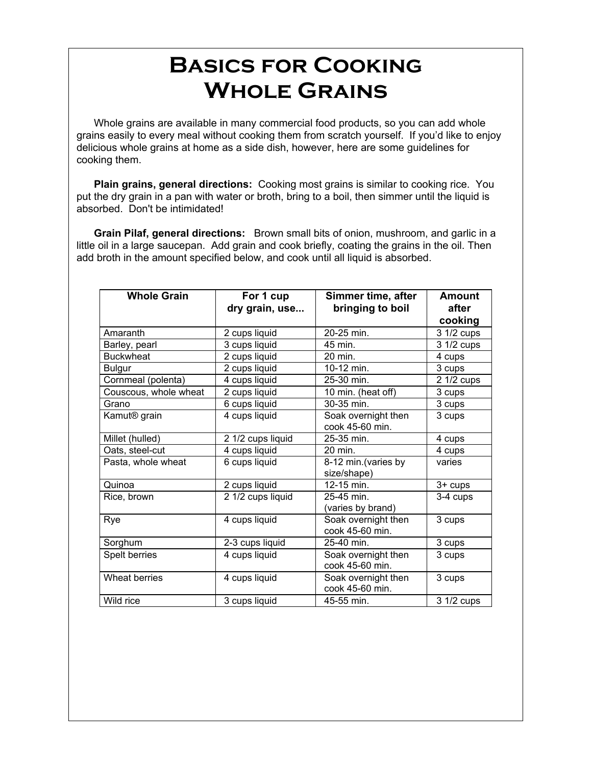## **Basics for Cooking Whole Grains**

Whole grains are available in many commercial food products, so you can add whole grains easily to every meal without cooking them from scratch yourself. If you'd like to enjoy delicious whole grains at home as a side dish, however, here are some guidelines for cooking them.

**Plain grains, general directions:** Cooking most grains is similar to cooking rice. You put the dry grain in a pan with water or broth, bring to a boil, then simmer until the liquid is absorbed. Don't be intimidated!

**Grain Pilaf, general directions:** Brown small bits of onion, mushroom, and garlic in a little oil in a large saucepan. Add grain and cook briefly, coating the grains in the oil. Then add broth in the amount specified below, and cook until all liquid is absorbed.

| <b>Whole Grain</b>       | For 1 cup<br>dry grain, use | Simmer time, after<br>bringing to boil | <b>Amount</b><br>after<br>cooking |
|--------------------------|-----------------------------|----------------------------------------|-----------------------------------|
| Amaranth                 | 2 cups liquid               | 20-25 min.                             | 3 1/2 cups                        |
| Barley, pearl            | 3 cups liquid               | 45 min.                                | 3 1/2 cups                        |
| <b>Buckwheat</b>         | 2 cups liquid               | 20 min.                                | 4 cups                            |
| <b>Bulgur</b>            | 2 cups liquid               | 10-12 min.                             | 3 cups                            |
| Cornmeal (polenta)       | 4 cups liquid               | 25-30 min.                             | 2 1/2 cups                        |
| Couscous, whole wheat    | 2 cups liquid               | 10 min. (heat off)                     | 3 cups                            |
| Grano                    | 6 cups liquid               | 30-35 min.                             | 3 cups                            |
| Kamut <sup>®</sup> grain | 4 cups liquid               | Soak overnight then<br>cook 45-60 min. | 3 cups                            |
| Millet (hulled)          | 2 1/2 cups liquid           | 25-35 min.                             | 4 cups                            |
| Oats, steel-cut          | 4 cups liquid               | 20 min.                                | 4 cups                            |
| Pasta, whole wheat       | 6 cups liquid               | 8-12 min. (varies by<br>size/shape)    | varies                            |
| Quinoa                   | 2 cups liquid               | 12-15 min.                             | 3+ cups                           |
| Rice, brown              | 2 1/2 cups liquid           | 25-45 min.<br>(varies by brand)        | 3-4 cups                          |
| Rye                      | 4 cups liquid               | Soak overnight then<br>cook 45-60 min. | 3 cups                            |
| Sorghum                  | 2-3 cups liquid             | 25-40 min.                             | 3 cups                            |
| Spelt berries            | 4 cups liquid               | Soak overnight then<br>cook 45-60 min. | 3 cups                            |
| Wheat berries            | 4 cups liquid               | Soak overnight then<br>cook 45-60 min. | 3 cups                            |
| Wild rice                | 3 cups liquid               | 45-55 min.                             | 3 1/2 cups                        |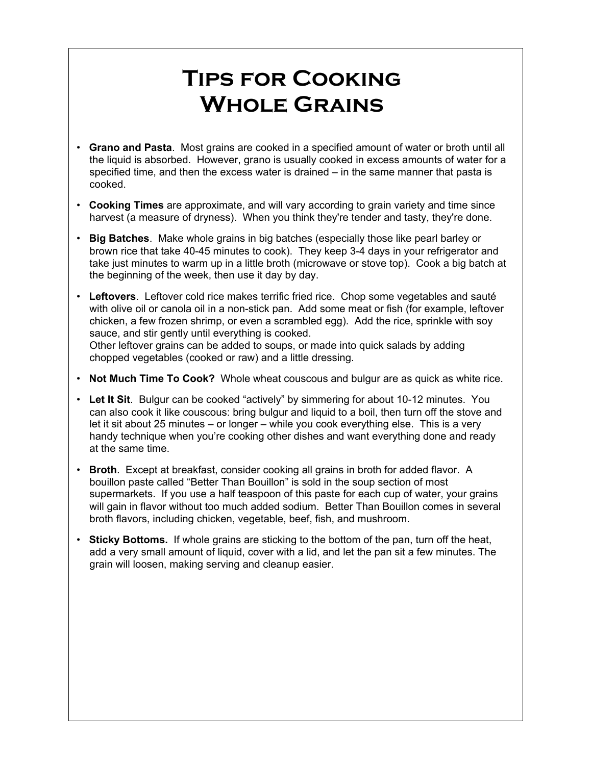## **Tips for Cooking Whole Grains**

- **Grano and Pasta**. Most grains are cooked in a specified amount of water or broth until all the liquid is absorbed. However, grano is usually cooked in excess amounts of water for a specified time, and then the excess water is drained – in the same manner that pasta is cooked.
- **Cooking Times** are approximate, and will vary according to grain variety and time since harvest (a measure of dryness). When you think they're tender and tasty, they're done.
- **Big Batches**. Make whole grains in big batches (especially those like pearl barley or brown rice that take 40-45 minutes to cook). They keep 3-4 days in your refrigerator and take just minutes to warm up in a little broth (microwave or stove top). Cook a big batch at the beginning of the week, then use it day by day.
- **Leftovers**. Leftover cold rice makes terrific fried rice. Chop some vegetables and sauté with olive oil or canola oil in a non-stick pan. Add some meat or fish (for example, leftover chicken, a few frozen shrimp, or even a scrambled egg). Add the rice, sprinkle with soy sauce, and stir gently until everything is cooked. Other leftover grains can be added to soups, or made into quick salads by adding chopped vegetables (cooked or raw) and a little dressing.

- **Not Much Time To Cook?** Whole wheat couscous and bulgur are as quick as white rice.
- **Let It Sit**. Bulgur can be cooked "actively" by simmering for about 10-12 minutes. You can also cook it like couscous: bring bulgur and liquid to a boil, then turn off the stove and let it sit about 25 minutes – or longer – while you cook everything else. This is a very handy technique when you're cooking other dishes and want everything done and ready at the same time.
- **Broth**. Except at breakfast, consider cooking all grains in broth for added flavor. A bouillon paste called "Better Than Bouillon" is sold in the soup section of most supermarkets. If you use a half teaspoon of this paste for each cup of water, your grains will gain in flavor without too much added sodium. Better Than Bouillon comes in several broth flavors, including chicken, vegetable, beef, fish, and mushroom.
- **Sticky Bottoms.** If whole grains are sticking to the bottom of the pan, turn off the heat, add a very small amount of liquid, cover with a lid, and let the pan sit a few minutes. The grain will loosen, making serving and cleanup easier.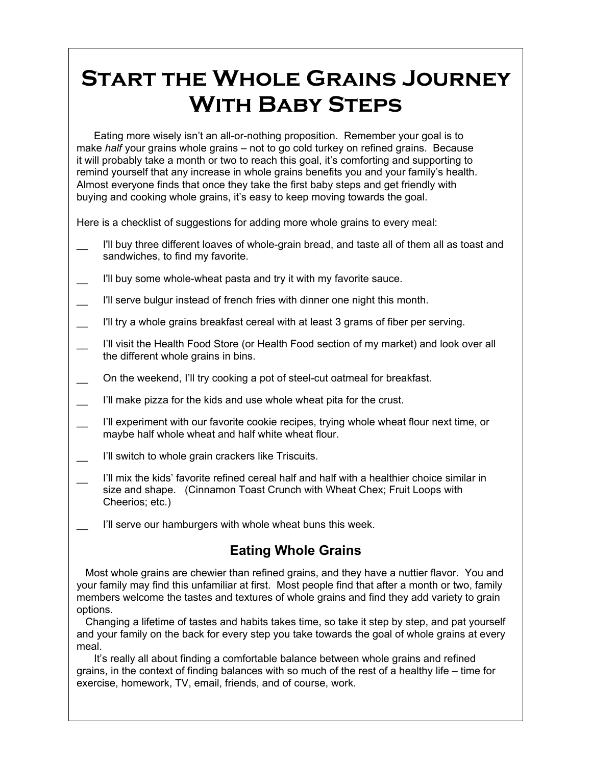## **Start the Whole Grains Journey With Baby Steps**

Eating more wisely isn't an all-or-nothing proposition. Remember your goal is to make *half* your grains whole grains – not to go cold turkey on refined grains. Because it will probably take a month or two to reach this goal, it's comforting and supporting to remind yourself that any increase in whole grains benefits you and your family's health. Almost everyone finds that once they take the first baby steps and get friendly with buying and cooking whole grains, it's easy to keep moving towards the goal.

Here is a checklist of suggestions for adding more whole grains to every meal:

- I'll buy three different loaves of whole-grain bread, and taste all of them all as toast and sandwiches, to find my favorite.
- I'll buy some whole-wheat pasta and try it with my favorite sauce.
- I'll serve bulgur instead of french fries with dinner one night this month.
- I'll try a whole grains breakfast cereal with at least 3 grams of fiber per serving.
- I'll visit the Health Food Store (or Health Food section of my market) and look over all the different whole grains in bins.
	- On the weekend, I'll try cooking a pot of steel-cut oatmeal for breakfast.
- I'll make pizza for the kids and use whole wheat pita for the crust.
- I'll experiment with our favorite cookie recipes, trying whole wheat flour next time, or maybe half whole wheat and half white wheat flour.
- I'll switch to whole grain crackers like Triscuits.
- I'll mix the kids' favorite refined cereal half and half with a healthier choice similar in size and shape. (Cinnamon Toast Crunch with Wheat Chex; Fruit Loops with Cheerios; etc.)
- I'll serve our hamburgers with whole wheat buns this week.

## **Eating Whole Grains**

Most whole grains are chewier than refined grains, and they have a nuttier flavor. You and your family may find this unfamiliar at first. Most people find that after a month or two, family members welcome the tastes and textures of whole grains and find they add variety to grain options.

Changing a lifetime of tastes and habits takes time, so take it step by step, and pat yourself and your family on the back for every step you take towards the goal of whole grains at every meal.

It's really all about finding a comfortable balance between whole grains and refined grains, in the context of finding balances with so much of the rest of a healthy life – time for exercise, homework, TV, email, friends, and of course, work.